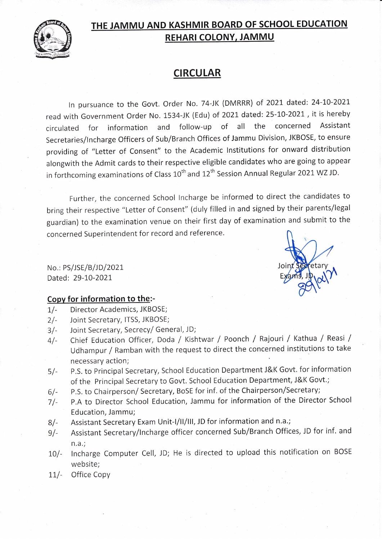

# THE JAMMU AND KASHMIR BOARD OF SCHOOL EDUCATION REHARI COLONY, JAMMU

### **CIRCULAR**

In pursuance to the Govt. Order No. 74-JK (DMRRR) of 2021 dated: 24-10-2021 read with Government Order No. 1534-JK (Edu) of 2021 dated: 25-10-2021, it is hereby circulated for information and follow-up of all the concerned Assistant Secretaries/lncharge Officers of Sub/Branch Offices of Jammu Division, JKBOSE, to ensure providing of "Letter of Consent" to the Academic lnstitutions for onward distribution alongwith the Admit cards to their respective eligible candidates who are going to appear in forthcoming examinations of Class  $10^{th}$  and  $12^{th}$  Session Annual Regular 2021 WZ JD.

Further, the concerned School lncharge be informed to direct the candidates to bring their respective "Letter of Consent" (duly filled in and signed by their parents/legal guardian) to the examination venue on their first day of examination and submit to the concerned Superintendent for record and reference.

Joi

Exams, J

No.: PS/JSE/B/JD/2021 Dated: 29-10-2021,

#### Copy for information to the:-

- 1/- Director Academics, JKBOSE;
- 2l- Joint Secretary, ITSS, JKBOSE;
- 3/- Joint Secretary, Secrecy/ General, JD;
- 4/- Chief Education Officer, Doda / Kishtwar / Poonch / Rajouri / Kathua / Reasi / Udhampur / Ramban with the request to direct the concerned institutions to take necessary action;
- 5l- p.S. to principal Secretary, School Education Department J&K Govt. for information of the Principal Secretary to Govt. School Education Department, J&K Govt.;
- P.S. to Chairperson/ Secretary, BoSE for inf. of the Chairperson/Secretary;  $6/-$
- p.A to Director School Education, Jammu for information of the Director School Education, Jammu;  $7/-$
- Assistant Secretary Exam Unit-I/II/III, JD for information and n.a.; 8l-
- Assistant Secretary/Incharge officer concerned Sub/Branch Offices, JD for inf. and n.a.;  $9/-$
- $10/$ lncharge Computer Cell, JD; He is directed to upload this notification on BOSE website;
- Office Copy  $11/-$